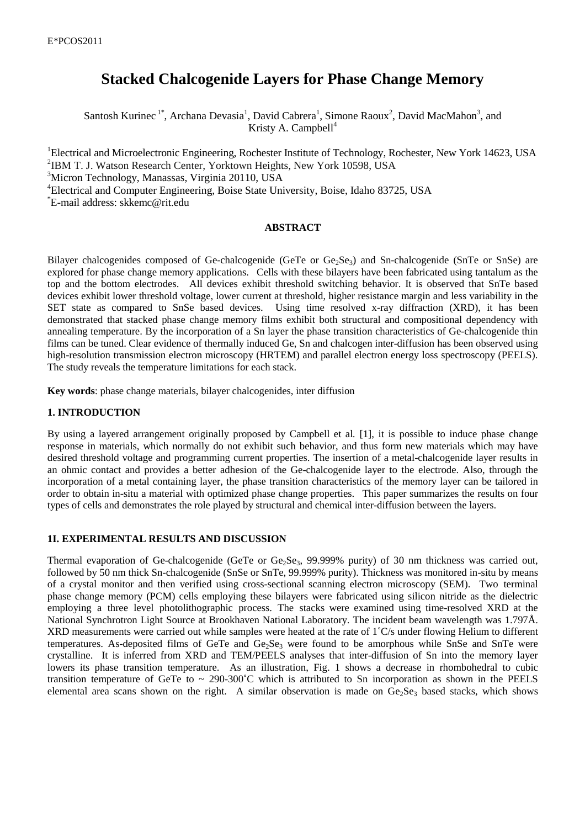# **Stacked Chalcogenide Layers for Phase Change Memory**

Santosh Kurinec<sup>1\*</sup>, Archana Devasia<sup>1</sup>, David Cabrera<sup>1</sup>, Simone Raoux<sup>2</sup>, David MacMahon<sup>3</sup>, and Kristy A. Campbell $4^4$ 

Electrical and Microelectronic Engineering, Rochester Institute of Technology, Rochester, New York 14623, USA IBM T. J. Watson Research Center, Yorktown Heights, New York 10598, USA Micron Technology, Manassas, Virginia 20110, USA Electrical and Computer Engineering, Boise State University, Boise, Idaho 83725, USA \*E-mail address: skkemc@rit.edu

## **ABSTRACT**

Bilayer chalcogenides composed of Ge-chalcogenide (GeTe or Ge<sub>2</sub>Se<sub>3</sub>) and Sn-chalcogenide (SnTe or SnSe) are explored for phase change memory applications. Cells with these bilayers have been fabricated using tantalum as the top and the bottom electrodes. All devices exhibit threshold switching behavior. It is observed that SnTe based devices exhibit lower threshold voltage, lower current at threshold, higher resistance margin and less variability in the SET state as compared to SnSe based devices. Using time resolved x-ray diffraction (XRD), it has been demonstrated that stacked phase change memory films exhibit both structural and compositional dependency with annealing temperature. By the incorporation of a Sn layer the phase transition characteristics of Ge-chalcogenide thin films can be tuned. Clear evidence of thermally induced Ge, Sn and chalcogen inter-diffusion has been observed using high-resolution transmission electron microscopy (HRTEM) and parallel electron energy loss spectroscopy (PEELS). The study reveals the temperature limitations for each stack.

**Key words**: phase change materials, bilayer chalcogenides, inter diffusion

## **1. INTRODUCTION**

By using a layered arrangement originally proposed by Campbell et al*.* [1], it is possible to induce phase change response in materials, which normally do not exhibit such behavior, and thus form new materials which may have desired threshold voltage and programming current properties. The insertion of a metal-chalcogenide layer results in an ohmic contact and provides a better adhesion of the Ge-chalcogenide layer to the electrode. Also, through the incorporation of a metal containing layer, the phase transition characteristics of the memory layer can be tailored in order to obtain in-situ a material with optimized phase change properties. This paper summarizes the results on four types of cells and demonstrates the role played by structural and chemical inter-diffusion between the layers.

### **1I. EXPERIMENTAL RESULTS AND DISCUSSION**

Thermal evaporation of Ge-chalcogenide (GeTe or Ge<sub>2</sub>Se<sub>3</sub>, 99.999% purity) of 30 nm thickness was carried out, followed by 50 nm thick Sn-chalcogenide (SnSe or SnTe, 99.999% purity). Thickness was monitored in-situ by means of a crystal monitor and then verified using cross-sectional scanning electron microscopy (SEM). Two terminal phase change memory (PCM) cells employing these bilayers were fabricated using silicon nitride as the dielectric employing a three level photolithographic process. The stacks were examined using time-resolved XRD at the National Synchrotron Light Source at Brookhaven National Laboratory. The incident beam wavelength was 1.797Å. XRD measurements were carried out while samples were heated at the rate of 1˚C/s under flowing Helium to different temperatures. As-deposited films of GeTe and Ge<sub>2</sub>Se<sub>3</sub> were found to be amorphous while SnSe and SnTe were crystalline. It is inferred from XRD and TEM/PEELS analyses that inter-diffusion of Sn into the memory layer lowers its phase transition temperature. As an illustration, Fig. 1 shows a decrease in rhombohedral to cubic transition temperature of GeTe to  $\sim 290{\text -}300^{\circ}\text{C}$  which is attributed to Sn incorporation as shown in the PEELS elemental area scans shown on the right. A similar observation is made on  $Ge_2Se_3$  based stacks, which shows